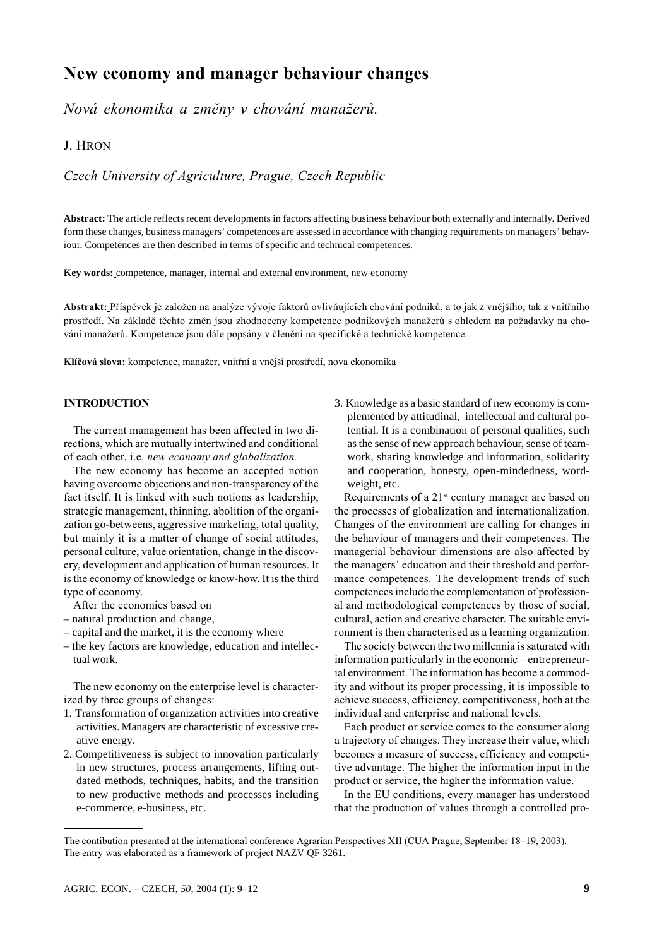# New economy and manager behaviour changes

Nová ekonomika a změny v chování manažerů.

J. HRON

Czech University of Agriculture, Prague, Czech Republic

Abstract: The article reflects recent developments in factors affecting business behaviour both externally and internally. Derived form these changes, business managers' competences are assessed in accordance with changing requirements on managers' behaviour. Competences are then described in terms of specific and technical competences.

Key words: competence, manager, internal and external environment, new economy

Abstrakt: Příspěvek je založen na analýze vývoje faktorů ovlivňujících chování podniků, a to jak z vnějšího, tak z vnitřního prostředí. Na základě těchto změn jsou zhodnoceny kompetence podnikových manažerů s ohledem na požadavky na chování manažerů. Kompetence jsou dále popsány v členění na specifické a technické kompetence.

Klíčová slova: kompetence, manažer, vnitřní a vnější prostředí, nova ekonomika

## **INTRODUCTION**

The current management has been affected in two directions, which are mutually intertwined and conditional of each other, i.e. new economy and globalization.

The new economy has become an accepted notion having overcome objections and non-transparency of the fact itself. It is linked with such notions as leadership, strategic management, thinning, abolition of the organization go-betweens, aggressive marketing, total quality, but mainly it is a matter of change of social attitudes, personal culture, value orientation, change in the discoverv, development and application of human resources. It is the economy of knowledge or know-how. It is the third type of economy.

After the economies based on

- natural production and change.
- capital and the market, it is the economy where
- the key factors are knowledge, education and intellectual work.

The new economy on the enterprise level is characterized by three groups of changes:

- 1. Transformation of organization activities into creative activities. Managers are characteristic of excessive creative energy.
- 2. Competitiveness is subject to innovation particularly in new structures, process arrangements, lifting outdated methods, techniques, habits, and the transition to new productive methods and processes including e-commerce, e-business, etc.

3. Knowledge as a basic standard of new economy is complemented by attitudinal, intellectual and cultural potential. It is a combination of personal qualities, such as the sense of new approach behaviour, sense of teamwork, sharing knowledge and information, solidarity and cooperation, honesty, open-mindedness, wordweight, etc.

Requirements of a 21<sup>st</sup> century manager are based on the processes of globalization and internationalization. Changes of the environment are calling for changes in the behaviour of managers and their competences. The managerial behaviour dimensions are also affected by the managers' education and their threshold and performance competences. The development trends of such competences include the complementation of professional and methodological competences by those of social, cultural, action and creative character. The suitable environment is then characterised as a learning organization.

The society between the two millennia is saturated with information particularly in the economic – entrepreneurial environment. The information has become a commodity and without its proper processing, it is impossible to achieve success, efficiency, competitiveness, both at the individual and enterprise and national levels.

Each product or service comes to the consumer along a trajectory of changes. They increase their value, which becomes a measure of success, efficiency and competitive advantage. The higher the information input in the product or service, the higher the information value.

In the EU conditions, every manager has understood that the production of values through a controlled pro-

The contibution presented at the international conference Agrarian Perspectives XII (CUA Prague, September 18–19, 2003). The entry was elaborated as a framework of project NAZV QF 3261.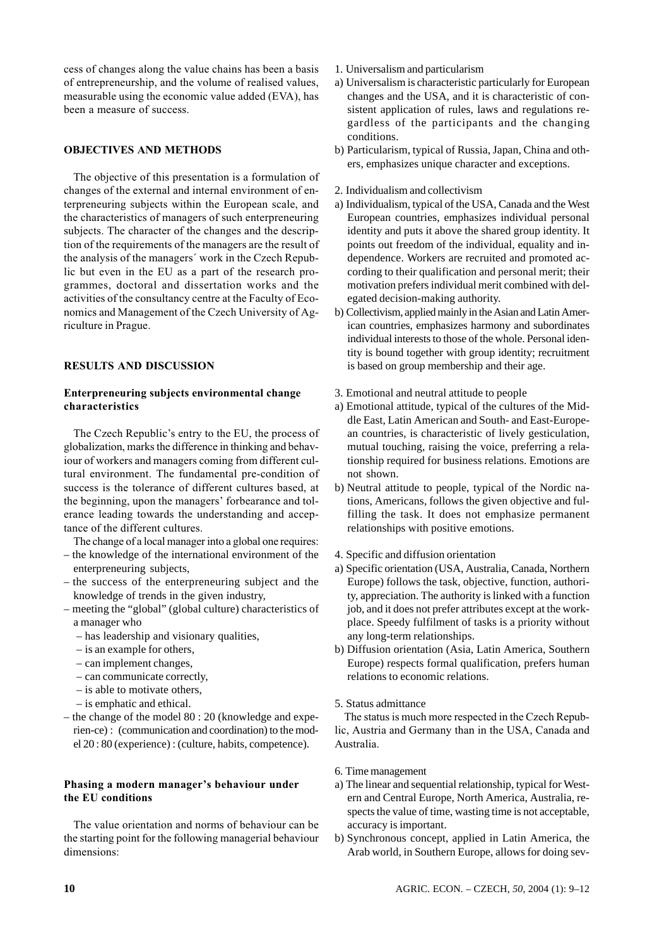cess of changes along the value chains has been a basis of entrepreneurship, and the volume of realised values, measurable using the economic value added (EVA), has been a measure of success.

#### OBJECTIVES AND METHODS

The objective of this presentation is a formulation of changes of the external and internal environment of enterpreneuring subjects within the European scale, and the characteristics of managers of such enterpreneuring subjects. The character of the changes and the description of the requirements of the managers are the result of the analysis of the managers' work in the Czech Republic but even in the EU as a part of the research programmes, doctoral and dissertation works and the activities of the consultancy centre at the Faculty of Economics and Management of the Czech University of Agriculture in Prague.

#### RESULTS AND DISCUSSION

## Enterpreneuring subjects environmental change characteristics

The Czech Republic's entry to the EU, the process of globalization, marks the difference in thinking and behaviour of workers and managers coming from different cultural environment. The fundamental pre-condition of success is the tolerance of different cultures based, at the beginning, upon the managers' forbearance and tolerance leading towards the understanding and acceptance of the different cultures.

The change of a local manager into a global one requires:

- the knowledge of the international environment of the enterpreneuring subjects,
- the success of the enterpreneuring subject and the knowledge of trends in the given industry,
- meeting the "global" (global culture) characteristics of a manager who
	- has leadership and visionary qualities,
	- is an example for others,
	- can implement changes,
	- can communicate correctly,
	- is able to motivate others,
	- is emphatic and ethical.
- the change of the model 80 : 20 (knowledge and experien-ce) : (communication and coordination) to the model 20 : 80 (experience) : (culture, habits, competence).

#### Phasing a modern manager's behaviour under the EU conditions

The value orientation and norms of behaviour can be the starting point for the following managerial behaviour dimensions:

- 1. Universalism and particularism
- a) Universalism is characteristic particularly for European changes and the USA, and it is characteristic of consistent application of rules, laws and regulations regardless of the participants and the changing conditions.
- b) Particularism, typical of Russia, Japan, China and others, emphasizes unique character and exceptions.
- 2. Individualism and collectivism
- a) Individualism, typical of the USA, Canada and the West European countries, emphasizes individual personal identity and puts it above the shared group identity. It points out freedom of the individual, equality and independence. Workers are recruited and promoted according to their qualification and personal merit; their motivation prefers individual merit combined with delegated decision-making authority.
- b) Collectivism, applied mainly in the Asian and Latin American countries, emphasizes harmony and subordinates individual interests to those of the whole. Personal identity is bound together with group identity; recruitment is based on group membership and their age.
- 3. Emotional and neutral attitude to people
- a) Emotional attitude, typical of the cultures of the Middle East, Latin American and South- and East-European countries, is characteristic of lively gesticulation, mutual touching, raising the voice, preferring a relationship required for business relations. Emotions are not shown.
- b) Neutral attitude to people, typical of the Nordic nations, Americans, follows the given objective and fulfilling the task. It does not emphasize permanent relationships with positive emotions.
- 4. Specific and diffusion orientation
- a) Specific orientation (USA, Australia, Canada, Northern Europe) follows the task, objective, function, authority, appreciation. The authority is linked with a function job, and it does not prefer attributes except at the workplace. Speedy fulfilment of tasks is a priority without any long-term relationships.
- b) Diffusion orientation (Asia, Latin America, Southern Europe) respects formal qualification, prefers human relations to economic relations.

#### 5. Status admittance

The status is much more respected in the Czech Republic, Austria and Germany than in the USA, Canada and Australia.

- 6. Time management
- a) The linear and sequential relationship, typical for Western and Central Europe, North America, Australia, respects the value of time, wasting time is not acceptable, accuracy is important.
- b) Synchronous concept, applied in Latin America, the Arab world, in Southern Europe, allows for doing sev-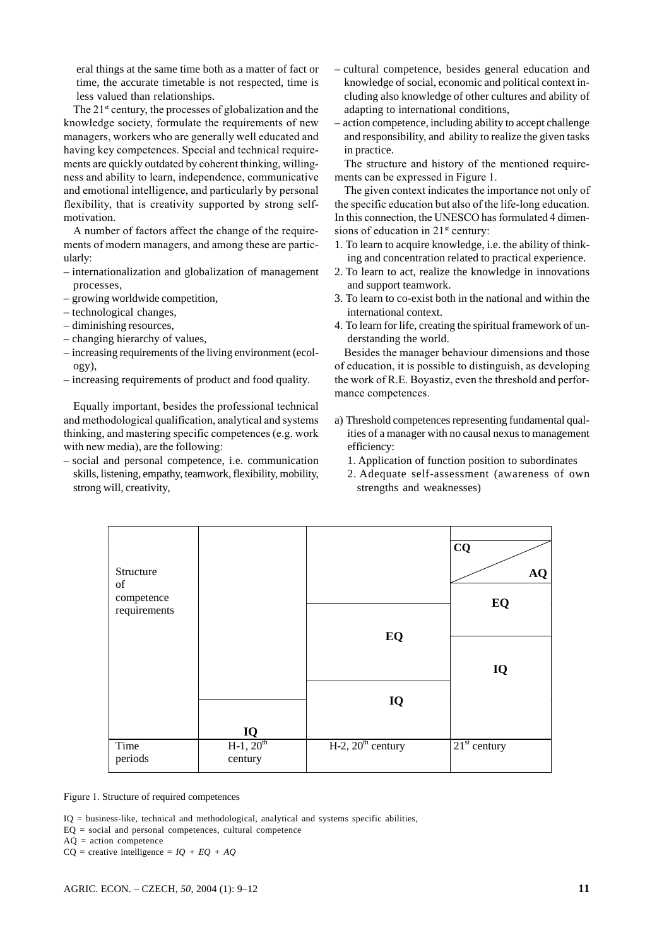eral things at the same time both as a matter of fact or time, the accurate timetable is not respected, time is less valued than relationships.

The 21<sup>st</sup> century, the processes of globalization and the knowledge society, formulate the requirements of new managers, workers who are generally well educated and having key competences. Special and technical requirements are quickly outdated by coherent thinking, willingness and ability to learn, independence, communicative and emotional intelligence, and particularly by personal flexibility, that is creativity supported by strong selfmotivation.

A number of factors affect the change of the requirements of modern managers, and among these are particularly:

- internationalization and globalization of management processes.
- $-$  growing worldwide competition,
- technological changes,
- $-$  diminishing resources,
- changing hierarchy of values,
- increasing requirements of the living environment (ecol- $OgV$ ).
- increasing requirements of product and food quality.

Equally important, besides the professional technical and methodological qualification, analytical and systems thinking, and mastering specific competences (e.g. work with new media), are the following:

- social and personal competence, i.e. communication skills, listening, empathy, teamwork, flexibility, mobility, strong will, creativity,

- cultural competence, besides general education and knowledge of social, economic and political context including also knowledge of other cultures and ability of adapting to international conditions.
- action competence, including ability to accept challenge and responsibility, and ability to realize the given tasks in practice.

The structure and history of the mentioned requirements can be expressed in Figure 1.

The given context indicates the importance not only of the specific education but also of the life-long education. In this connection, the UNESCO has formulated 4 dimensions of education in  $21<sup>st</sup>$  century:

- 1. To learn to acquire knowledge, i.e. the ability of thinking and concentration related to practical experience.
- 2. To learn to act, realize the knowledge in innovations and support teamwork.
- 3. To learn to co-exist both in the national and within the international context.
- 4. To learn for life, creating the spiritual framework of understanding the world.

Besides the manager behaviour dimensions and those of education, it is possible to distinguish, as developing the work of R.E. Bovastiz, even the threshold and performance competences.

- a) Threshold competences representing fundamental qualities of a manager with no causal nexus to management efficiency:
	- 1. Application of function position to subordinates
	- 2. Adequate self-assessment (awareness of own strengths and weaknesses)

 $\overline{\mathbf{co}}$ Structure AO  $\alpha$ competence EO requirements **EO IO IO** 10  $H-2$ ,  $20<sup>th</sup>$  century Time  $H-1.20^{t}$  $21<sup>st</sup>$  century periods century

Figure 1. Structure of required competences

- $IQ = business-like$ , technical and methodological, analytical and systems specific abilities,
- $EQ = social$  and personal competences, cultural competence
- $AQ = action$  competence
- $CQ$  = creative intelligence =  $IQ + EQ + AQ$